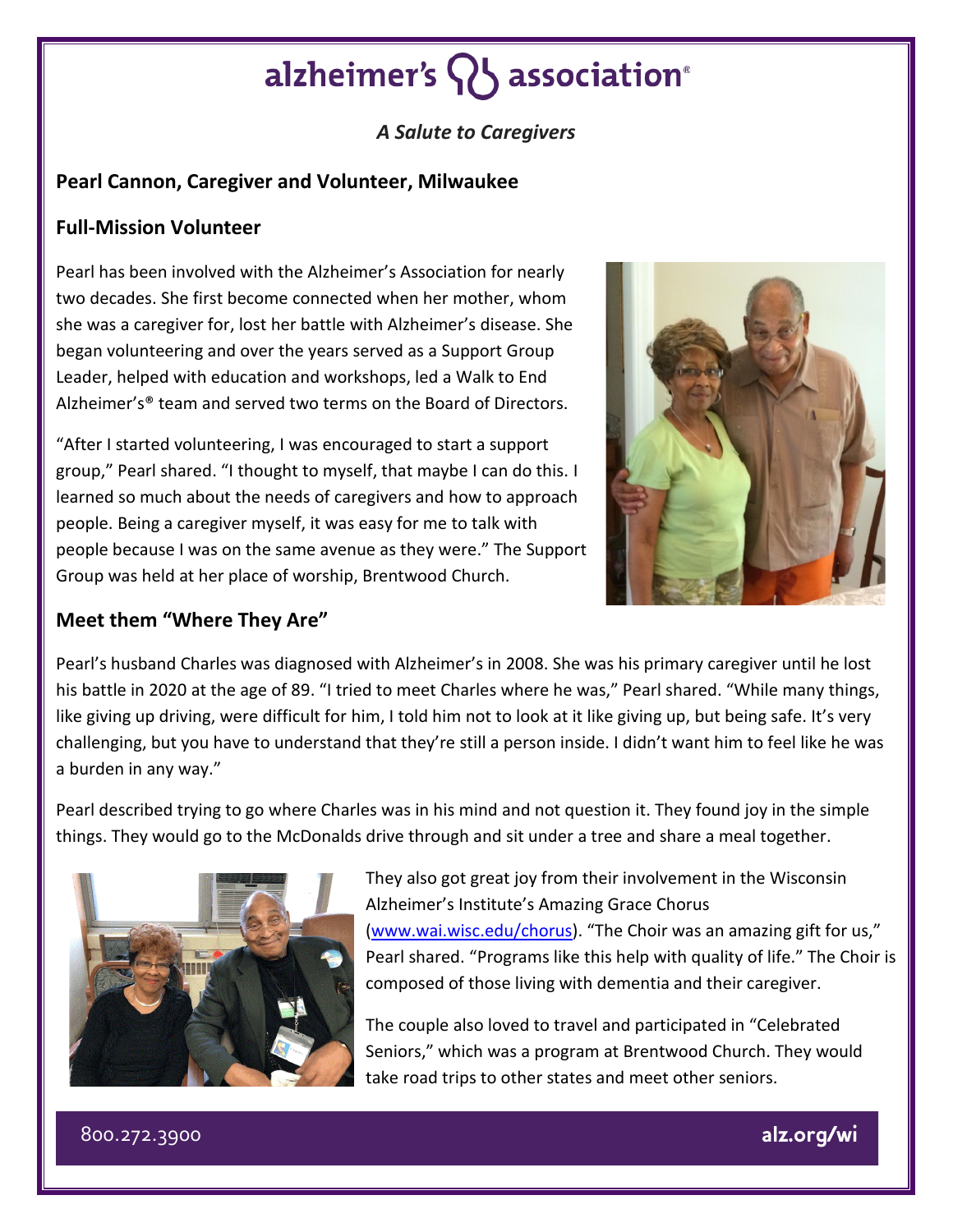# alzheimer's **Q** association<sup>®</sup>

## *A Salute to Caregivers*

## **Pearl Cannon, Caregiver and Volunteer, Milwaukee**

### **Full-Mission Volunteer**

Pearl has been involved with the Alzheimer's Association for nearly two decades. She first become connected when her mother, whom she was a caregiver for, lost her battle with Alzheimer's disease. She began volunteering and over the years served as a Support Group Leader, helped with education and workshops, led a Walk to End Alzheimer's® team and served two terms on the Board of Directors.

"After I started volunteering, I was encouraged to start a support group," Pearl shared. "I thought to myself, that maybe I can do this. I learned so much about the needs of caregivers and how to approach people. Being a caregiver myself, it was easy for me to talk with people because I was on the same avenue as they were." The Support Group was held at her place of worship, Brentwood Church.



### **Meet them "Where They Are"**

Pearl's husband Charles was diagnosed with Alzheimer's in 2008. She was his primary caregiver until he lost his battle in 2020 at the age of 89. "I tried to meet Charles where he was," Pearl shared. "While many things, like giving up driving, were difficult for him, I told him not to look at it like giving up, but being safe. It's very challenging, but you have to understand that they're still a person inside. I didn't want him to feel like he was a burden in any way."

Pearl described trying to go where Charles was in his mind and not question it. They found joy in the simple things. They would go to the McDonalds drive through and sit under a tree and share a meal together.



They also got great joy from their involvement in the Wisconsin Alzheimer's Institute's Amazing Grace Chorus [\(www.wai.wisc.edu/chorus\)](http://www.wai.wisc.edu/chorus). "The Choir was an amazing gift for us," Pearl shared. "Programs like this help with quality of life." The Choir is composed of those living with dementia and their caregiver.

The couple also loved to travel and participated in "Celebrated Seniors," which was a program at Brentwood Church. They would take road trips to other states and meet other seniors.

800.272.3900